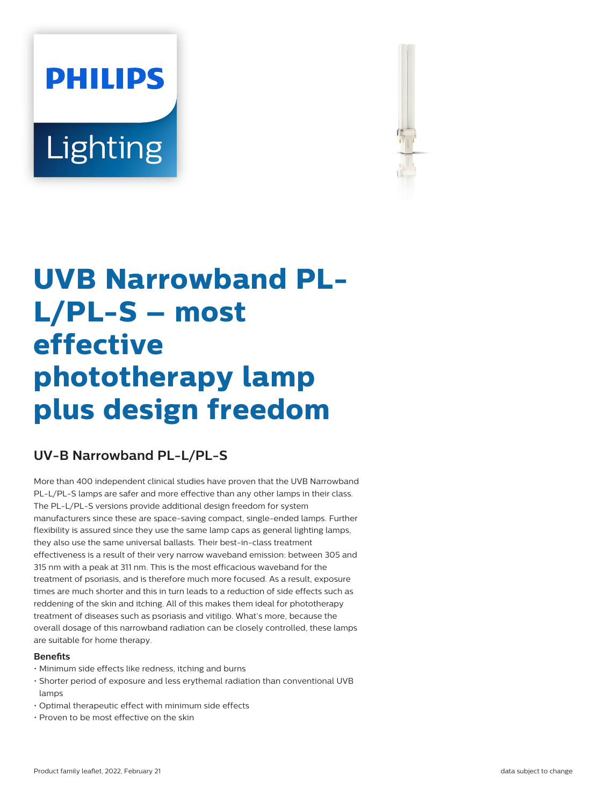# **PHILIPS** Lighting



# **UVB Narrowband PL-L/PL-S – most effective phototherapy lamp plus design freedom**

## **UV-B Narrowband PL-L/PL-S**

More than 400 independent clinical studies have proven that the UVB Narrowband PL-L/PL-S lamps are safer and more effective than any other lamps in their class. The PL-L/PL-S versions provide additional design freedom for system manufacturers since these are space-saving compact, single-ended lamps. Further flexibility is assured since they use the same lamp caps as general lighting lamps, they also use the same universal ballasts. Their best-in-class treatment effectiveness is a result of their very narrow waveband emission: between 305 and 315 nm with a peak at 311 nm. This is the most efficacious waveband for the treatment of psoriasis, and is therefore much more focused. As a result, exposure times are much shorter and this in turn leads to a reduction of side effects such as reddening of the skin and itching. All of this makes them ideal for phototherapy treatment of diseases such as psoriasis and vitiligo. What's more, because the overall dosage of this narrowband radiation can be closely controlled, these lamps are suitable for home therapy.

#### **Benets**

- Minimum side effects like redness, itching and burns
- Shorter period of exposure and less erythemal radiation than conventional UVB lamps
- Optimal therapeutic effect with minimum side effects
- Proven to be most effective on the skin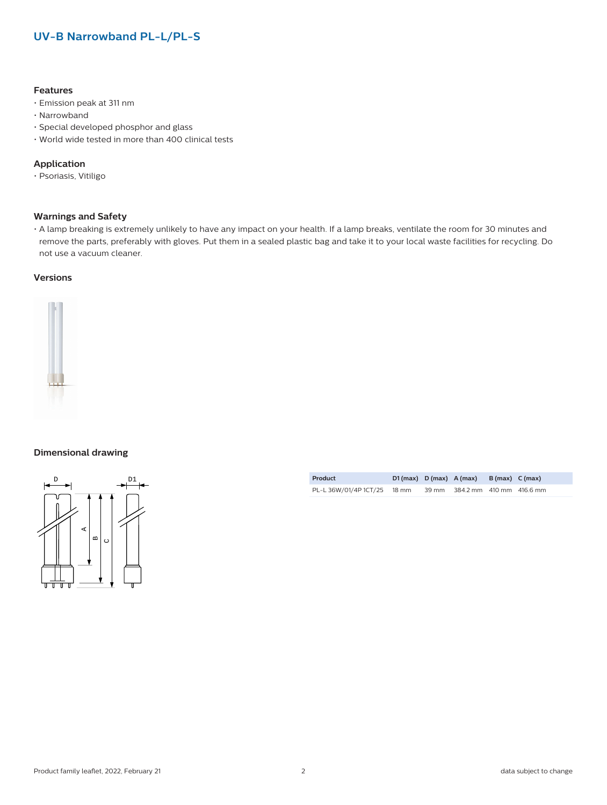### **UV-B Narrowband PL-L/PL-S**

#### **Features**

- Emission peak at 311 nm
- Narrowband
- Special developed phosphor and glass
- World wide tested in more than 400 clinical tests

#### **Application**

• Psoriasis, Vitiligo

#### **Warnings and Safety**

• A lamp breaking is extremely unlikely to have any impact on your health. If a lamp breaks, ventilate the room for 30 minutes and remove the parts, preferably with gloves. Put them in a sealed plastic bag and take it to your local waste facilities for recycling. Do not use a vacuum cleaner.

#### **Versions**



#### **Dimensional drawing**



| Product                     | $D1(max)$ $D(max)$ $A(max)$ |       |                          | B (max) C (max) |  |
|-----------------------------|-----------------------------|-------|--------------------------|-----------------|--|
| PL-L 36W/01/4P 1CT/25 18 mm |                             | 39 mm | 384.2 mm 410 mm 416.6 mm |                 |  |